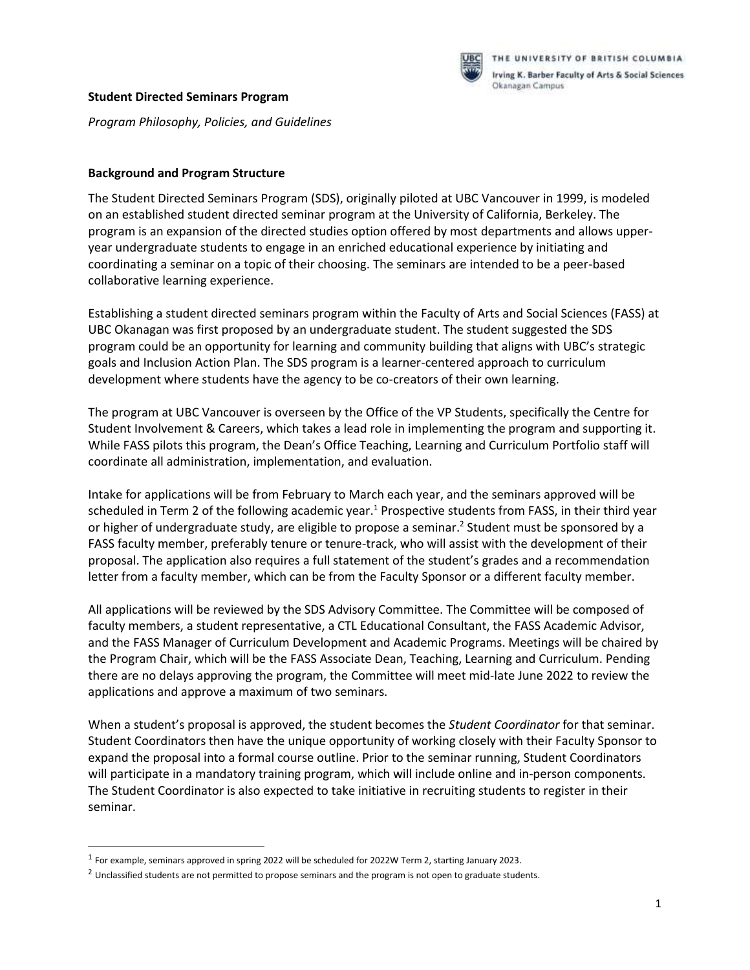

#### **Student Directed Seminars Program**

*Program Philosophy, Policies, and Guidelines* 

### **Background and Program Structure**

The Student Directed Seminars Program (SDS), originally piloted at UBC Vancouver in 1999, is modeled on an established student directed seminar program at the University of California, Berkeley. The program is an expansion of the directed studies option offered by most departments and allows upperyear undergraduate students to engage in an enriched educational experience by initiating and coordinating a seminar on a topic of their choosing. The seminars are intended to be a peer-based collaborative learning experience.

Establishing a student directed seminars program within the Faculty of Arts and Social Sciences (FASS) at UBC Okanagan was first proposed by an undergraduate student. The student suggested the SDS program could be an opportunity for learning and community building that aligns with UBC's strategic goals and Inclusion Action Plan. The SDS program is a learner-centered approach to curriculum development where students have the agency to be co-creators of their own learning.

The program at UBC Vancouver is overseen by the Office of the VP Students, specifically the Centre for Student Involvement & Careers, which takes a lead role in implementing the program and supporting it. While FASS pilots this program, the Dean's Office Teaching, Learning and Curriculum Portfolio staff will coordinate all administration, implementation, and evaluation.

Intake for applications will be from February to March each year, and the seminars approved will be scheduled in Term 2 of the following academic year.<sup>1</sup> Prospective students from FASS, in their third year or higher of undergraduate study, are eligible to propose a seminar.<sup>2</sup> Student must be sponsored by a FASS faculty member, preferably tenure or tenure-track, who will assist with the development of their proposal. The application also requires a full statement of the student's grades and a recommendation letter from a faculty member, which can be from the Faculty Sponsor or a different faculty member.

All applications will be reviewed by the SDS Advisory Committee. The Committee will be composed of faculty members, a student representative, a CTL Educational Consultant, the FASS Academic Advisor, and the FASS Manager of Curriculum Development and Academic Programs. Meetings will be chaired by the Program Chair, which will be the FASS Associate Dean, Teaching, Learning and Curriculum. Pending there are no delays approving the program, the Committee will meet mid-late June 2022 to review the applications and approve a maximum of two seminars.

When a student's proposal is approved, the student becomes the *Student Coordinator* for that seminar. Student Coordinators then have the unique opportunity of working closely with their Faculty Sponsor to expand the proposal into a formal course outline. Prior to the seminar running, Student Coordinators will participate in a mandatory training program, which will include online and in-person components. The Student Coordinator is also expected to take initiative in recruiting students to register in their seminar.

 $\overline{a}$ 

 $^1$  For example, seminars approved in spring 2022 will be scheduled for 2022W Term 2, starting January 2023.

 $2$  Unclassified students are not permitted to propose seminars and the program is not open to graduate students.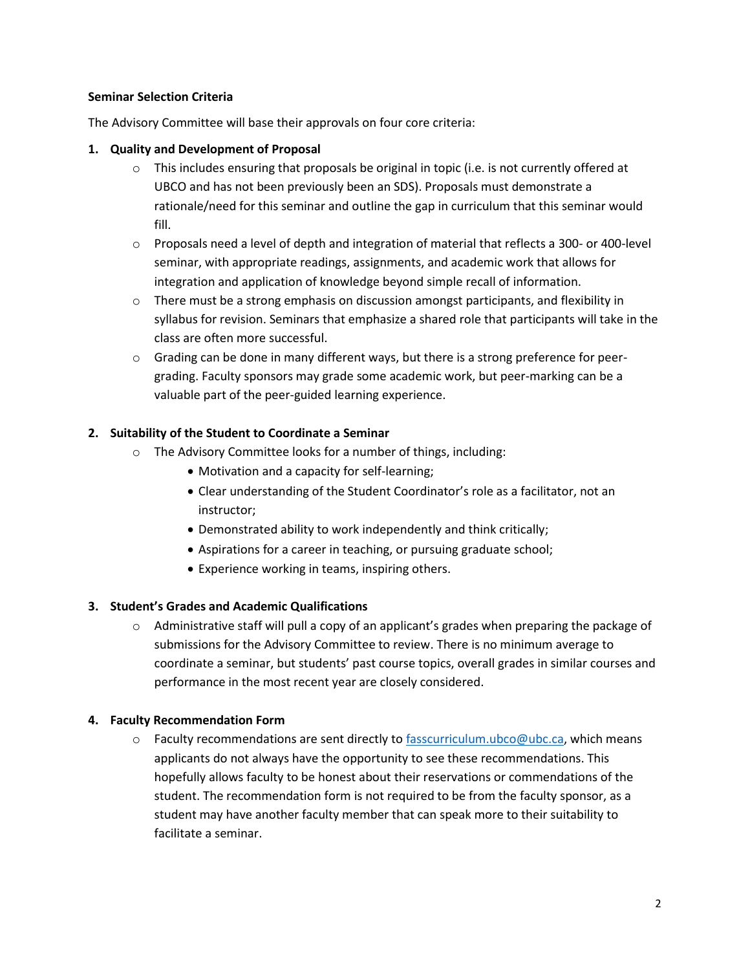### **Seminar Selection Criteria**

The Advisory Committee will base their approvals on four core criteria:

# **1. Quality and Development of Proposal**

- $\circ$  This includes ensuring that proposals be original in topic (i.e. is not currently offered at UBCO and has not been previously been an SDS). Proposals must demonstrate a rationale/need for this seminar and outline the gap in curriculum that this seminar would fill.
- $\circ$  Proposals need a level of depth and integration of material that reflects a 300- or 400-level seminar, with appropriate readings, assignments, and academic work that allows for integration and application of knowledge beyond simple recall of information.
- $\circ$  There must be a strong emphasis on discussion amongst participants, and flexibility in syllabus for revision. Seminars that emphasize a shared role that participants will take in the class are often more successful.
- o Grading can be done in many different ways, but there is a strong preference for peergrading. Faculty sponsors may grade some academic work, but peer-marking can be a valuable part of the peer-guided learning experience.

# **2. Suitability of the Student to Coordinate a Seminar**

- o The Advisory Committee looks for a number of things, including:
	- Motivation and a capacity for self-learning;
	- Clear understanding of the Student Coordinator's role as a facilitator, not an instructor;
	- Demonstrated ability to work independently and think critically;
	- Aspirations for a career in teaching, or pursuing graduate school;
	- Experience working in teams, inspiring others.

# **3. Student's Grades and Academic Qualifications**

 $\circ$  Administrative staff will pull a copy of an applicant's grades when preparing the package of submissions for the Advisory Committee to review. There is no minimum average to coordinate a seminar, but students' past course topics, overall grades in similar courses and performance in the most recent year are closely considered.

# **4. Faculty Recommendation Form**

 $\circ$  Faculty recommendations are sent directly to [fasscurriculum.ubco@ubc.ca,](mailto:fasscurriculum.ubco@ubc.ca) which means applicants do not always have the opportunity to see these recommendations. This hopefully allows faculty to be honest about their reservations or commendations of the student. The recommendation form is not required to be from the faculty sponsor, as a student may have another faculty member that can speak more to their suitability to facilitate a seminar.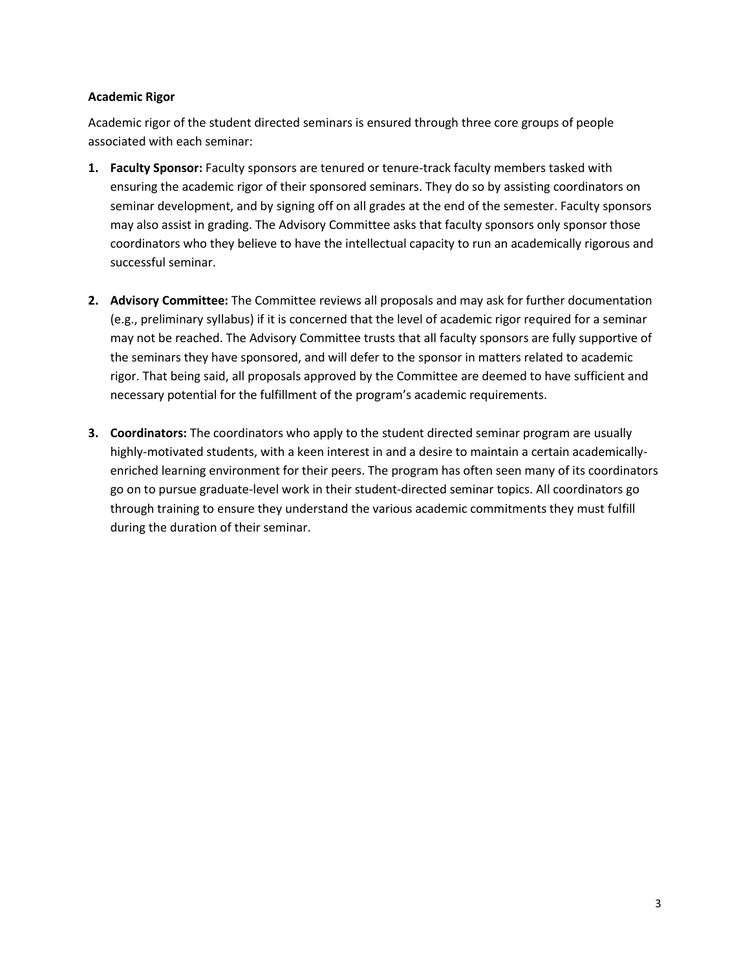### **Academic Rigor**

Academic rigor of the student directed seminars is ensured through three core groups of people associated with each seminar:

- **1. Faculty Sponsor:** Faculty sponsors are tenured or tenure-track faculty members tasked with ensuring the academic rigor of their sponsored seminars. They do so by assisting coordinators on seminar development, and by signing off on all grades at the end of the semester. Faculty sponsors may also assist in grading. The Advisory Committee asks that faculty sponsors only sponsor those coordinators who they believe to have the intellectual capacity to run an academically rigorous and successful seminar.
- **2. Advisory Committee:** The Committee reviews all proposals and may ask for further documentation (e.g., preliminary syllabus) if it is concerned that the level of academic rigor required for a seminar may not be reached. The Advisory Committee trusts that all faculty sponsors are fully supportive of the seminars they have sponsored, and will defer to the sponsor in matters related to academic rigor. That being said, all proposals approved by the Committee are deemed to have sufficient and necessary potential for the fulfillment of the program's academic requirements.
- **3. Coordinators:** The coordinators who apply to the student directed seminar program are usually highly-motivated students, with a keen interest in and a desire to maintain a certain academicallyenriched learning environment for their peers. The program has often seen many of its coordinators go on to pursue graduate-level work in their student-directed seminar topics. All coordinators go through training to ensure they understand the various academic commitments they must fulfill during the duration of their seminar.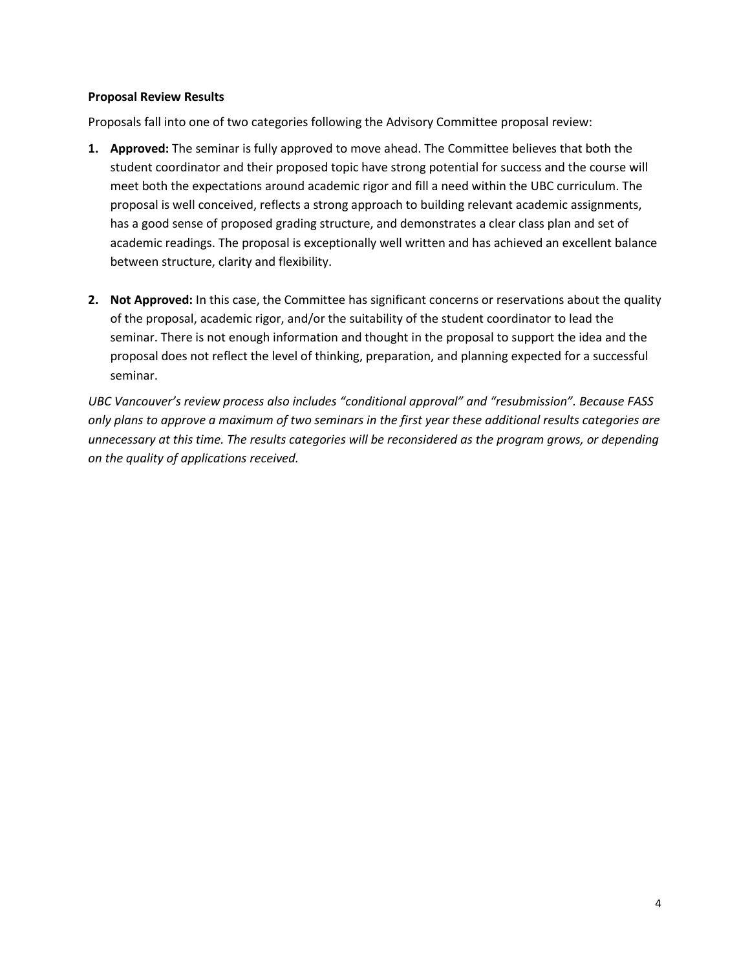#### **Proposal Review Results**

Proposals fall into one of two categories following the Advisory Committee proposal review:

- **1. Approved:** The seminar is fully approved to move ahead. The Committee believes that both the student coordinator and their proposed topic have strong potential for success and the course will meet both the expectations around academic rigor and fill a need within the UBC curriculum. The proposal is well conceived, reflects a strong approach to building relevant academic assignments, has a good sense of proposed grading structure, and demonstrates a clear class plan and set of academic readings. The proposal is exceptionally well written and has achieved an excellent balance between structure, clarity and flexibility.
- **2. Not Approved:** In this case, the Committee has significant concerns or reservations about the quality of the proposal, academic rigor, and/or the suitability of the student coordinator to lead the seminar. There is not enough information and thought in the proposal to support the idea and the proposal does not reflect the level of thinking, preparation, and planning expected for a successful seminar.

*UBC Vancouver's review process also includes "conditional approval" and "resubmission". Because FASS only plans to approve a maximum of two seminars in the first year these additional results categories are unnecessary at this time. The results categories will be reconsidered as the program grows, or depending on the quality of applications received.*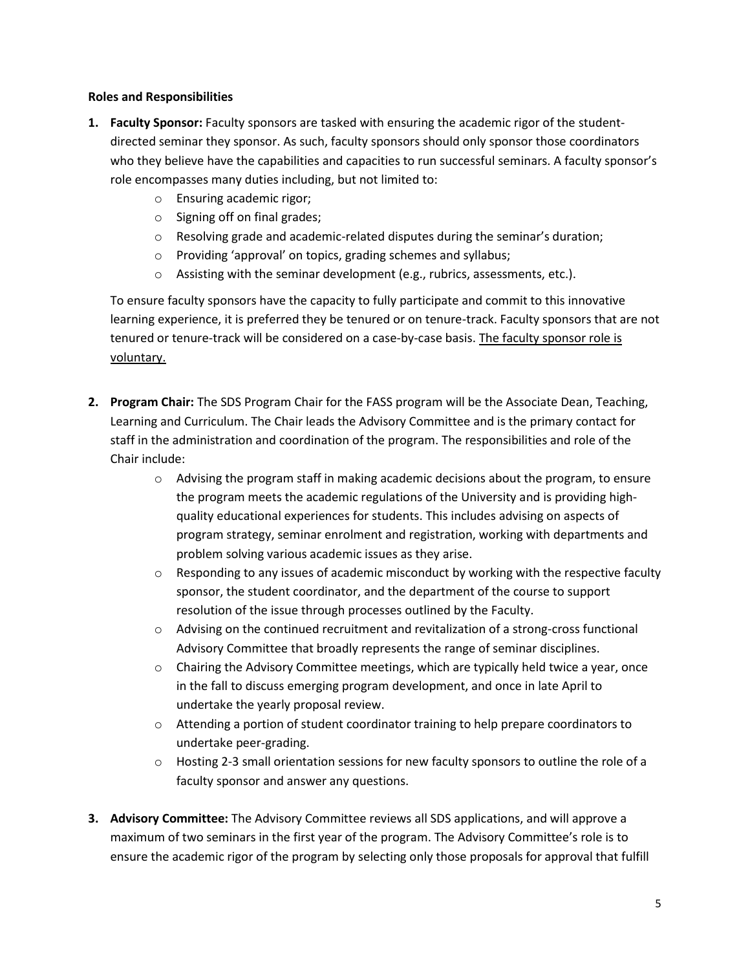### **Roles and Responsibilities**

- **1. Faculty Sponsor:** Faculty sponsors are tasked with ensuring the academic rigor of the studentdirected seminar they sponsor. As such, faculty sponsors should only sponsor those coordinators who they believe have the capabilities and capacities to run successful seminars. A faculty sponsor's role encompasses many duties including, but not limited to:
	- o Ensuring academic rigor;
	- o Signing off on final grades;
	- o Resolving grade and academic-related disputes during the seminar's duration;
	- o Providing 'approval' on topics, grading schemes and syllabus;
	- o Assisting with the seminar development (e.g., rubrics, assessments, etc.).

To ensure faculty sponsors have the capacity to fully participate and commit to this innovative learning experience, it is preferred they be tenured or on tenure-track. Faculty sponsors that are not tenured or tenure-track will be considered on a case-by-case basis. The faculty sponsor role is voluntary.

- **2. Program Chair:** The SDS Program Chair for the FASS program will be the Associate Dean, Teaching, Learning and Curriculum. The Chair leads the Advisory Committee and is the primary contact for staff in the administration and coordination of the program. The responsibilities and role of the Chair include:
	- $\circ$  Advising the program staff in making academic decisions about the program, to ensure the program meets the academic regulations of the University and is providing highquality educational experiences for students. This includes advising on aspects of program strategy, seminar enrolment and registration, working with departments and problem solving various academic issues as they arise.
	- $\circ$  Responding to any issues of academic misconduct by working with the respective faculty sponsor, the student coordinator, and the department of the course to support resolution of the issue through processes outlined by the Faculty.
	- $\circ$  Advising on the continued recruitment and revitalization of a strong-cross functional Advisory Committee that broadly represents the range of seminar disciplines.
	- $\circ$  Chairing the Advisory Committee meetings, which are typically held twice a year, once in the fall to discuss emerging program development, and once in late April to undertake the yearly proposal review.
	- $\circ$  Attending a portion of student coordinator training to help prepare coordinators to undertake peer-grading.
	- o Hosting 2-3 small orientation sessions for new faculty sponsors to outline the role of a faculty sponsor and answer any questions.
- **3. Advisory Committee:** The Advisory Committee reviews all SDS applications, and will approve a maximum of two seminars in the first year of the program. The Advisory Committee's role is to ensure the academic rigor of the program by selecting only those proposals for approval that fulfill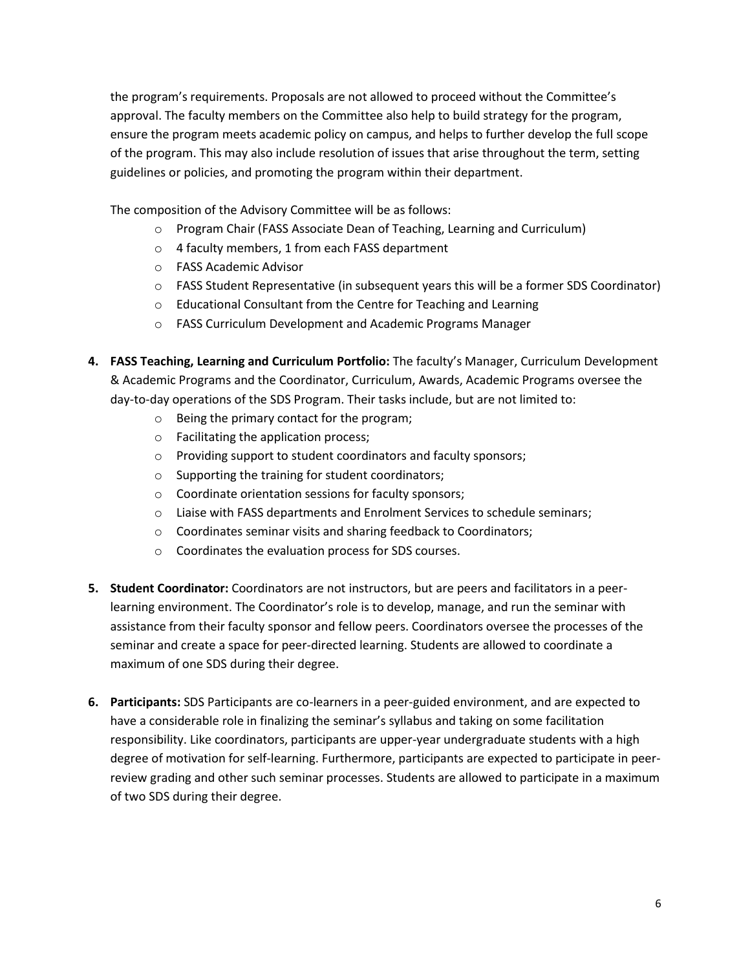the program's requirements. Proposals are not allowed to proceed without the Committee's approval. The faculty members on the Committee also help to build strategy for the program, ensure the program meets academic policy on campus, and helps to further develop the full scope of the program. This may also include resolution of issues that arise throughout the term, setting guidelines or policies, and promoting the program within their department.

The composition of the Advisory Committee will be as follows:

- o Program Chair (FASS Associate Dean of Teaching, Learning and Curriculum)
- o 4 faculty members, 1 from each FASS department
- o FASS Academic Advisor
- $\circ$  FASS Student Representative (in subsequent years this will be a former SDS Coordinator)
- o Educational Consultant from the Centre for Teaching and Learning
- o FASS Curriculum Development and Academic Programs Manager
- **4. FASS Teaching, Learning and Curriculum Portfolio:** The faculty's Manager, Curriculum Development & Academic Programs and the Coordinator, Curriculum, Awards, Academic Programs oversee the day-to-day operations of the SDS Program. Their tasks include, but are not limited to:
	- o Being the primary contact for the program;
	- o Facilitating the application process;
	- o Providing support to student coordinators and faculty sponsors;
	- o Supporting the training for student coordinators;
	- o Coordinate orientation sessions for faculty sponsors;
	- o Liaise with FASS departments and Enrolment Services to schedule seminars;
	- o Coordinates seminar visits and sharing feedback to Coordinators;
	- o Coordinates the evaluation process for SDS courses.
- **5. Student Coordinator:** Coordinators are not instructors, but are peers and facilitators in a peerlearning environment. The Coordinator's role is to develop, manage, and run the seminar with assistance from their faculty sponsor and fellow peers. Coordinators oversee the processes of the seminar and create a space for peer-directed learning. Students are allowed to coordinate a maximum of one SDS during their degree.
- **6. Participants:** SDS Participants are co-learners in a peer-guided environment, and are expected to have a considerable role in finalizing the seminar's syllabus and taking on some facilitation responsibility. Like coordinators, participants are upper-year undergraduate students with a high degree of motivation for self-learning. Furthermore, participants are expected to participate in peerreview grading and other such seminar processes. Students are allowed to participate in a maximum of two SDS during their degree.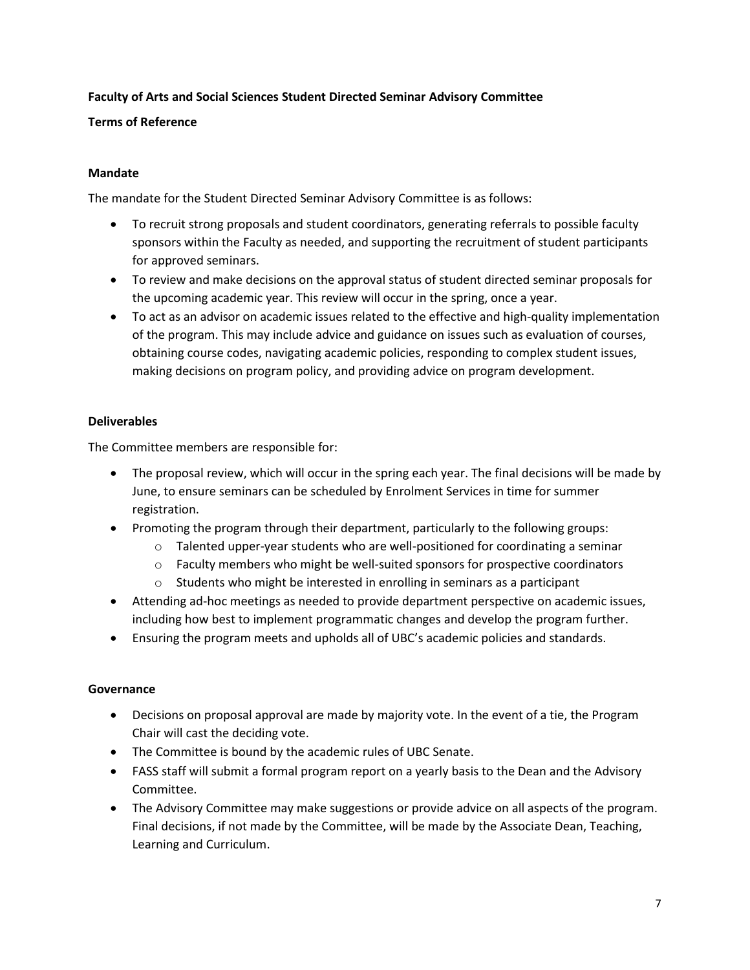# **Faculty of Arts and Social Sciences Student Directed Seminar Advisory Committee**

### **Terms of Reference**

### **Mandate**

The mandate for the Student Directed Seminar Advisory Committee is as follows:

- To recruit strong proposals and student coordinators, generating referrals to possible faculty sponsors within the Faculty as needed, and supporting the recruitment of student participants for approved seminars.
- To review and make decisions on the approval status of student directed seminar proposals for the upcoming academic year. This review will occur in the spring, once a year.
- To act as an advisor on academic issues related to the effective and high-quality implementation of the program. This may include advice and guidance on issues such as evaluation of courses, obtaining course codes, navigating academic policies, responding to complex student issues, making decisions on program policy, and providing advice on program development.

## **Deliverables**

The Committee members are responsible for:

- The proposal review, which will occur in the spring each year. The final decisions will be made by June, to ensure seminars can be scheduled by Enrolment Services in time for summer registration.
- Promoting the program through their department, particularly to the following groups:
	- $\circ$  Talented upper-year students who are well-positioned for coordinating a seminar
	- o Faculty members who might be well-suited sponsors for prospective coordinators
	- o Students who might be interested in enrolling in seminars as a participant
- Attending ad-hoc meetings as needed to provide department perspective on academic issues, including how best to implement programmatic changes and develop the program further.
- Ensuring the program meets and upholds all of UBC's academic policies and standards.

### **Governance**

- Decisions on proposal approval are made by majority vote. In the event of a tie, the Program Chair will cast the deciding vote.
- The Committee is bound by the academic rules of UBC Senate.
- FASS staff will submit a formal program report on a yearly basis to the Dean and the Advisory Committee.
- The Advisory Committee may make suggestions or provide advice on all aspects of the program. Final decisions, if not made by the Committee, will be made by the Associate Dean, Teaching, Learning and Curriculum.